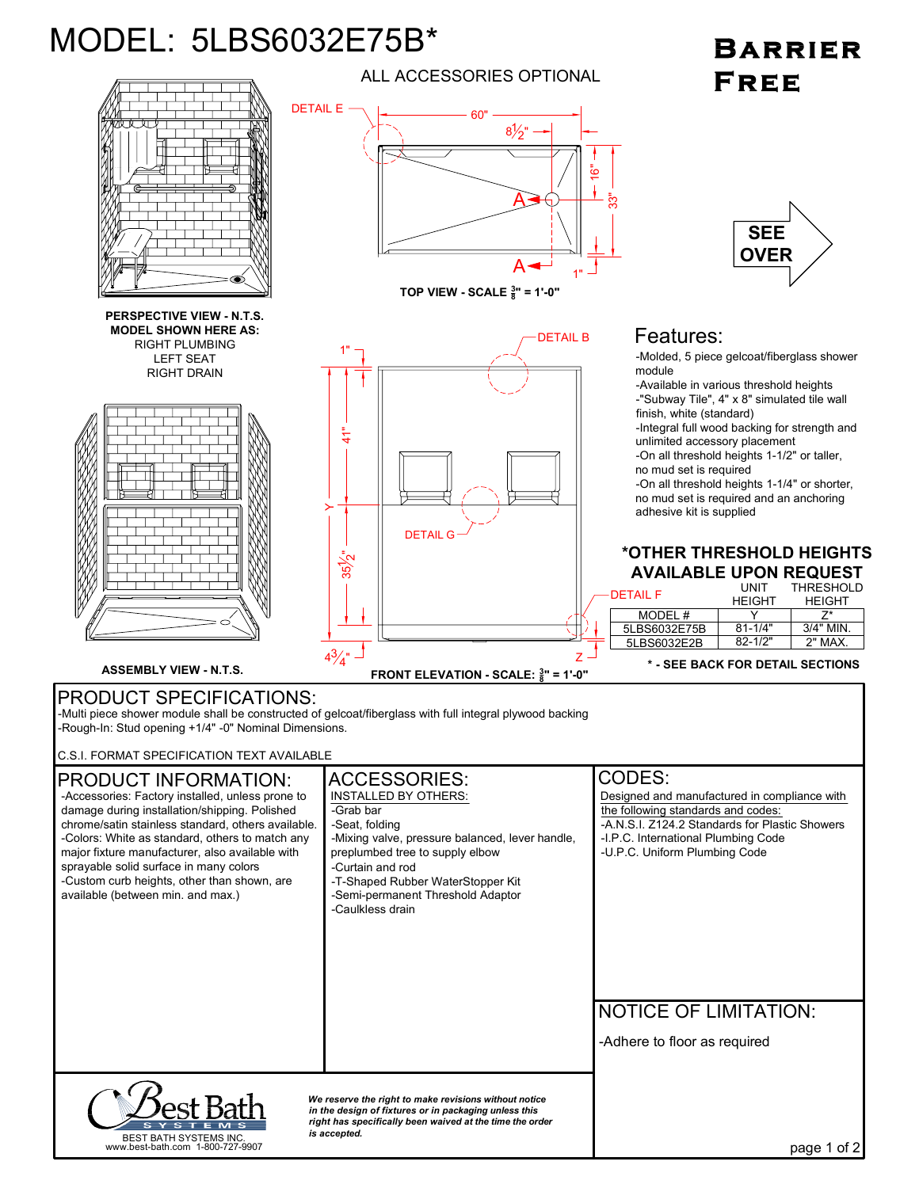## MODEL: 5LBS6032E75B\*

## **BARRIER** FREE



ALL ACCESSORIES OPTIONAL